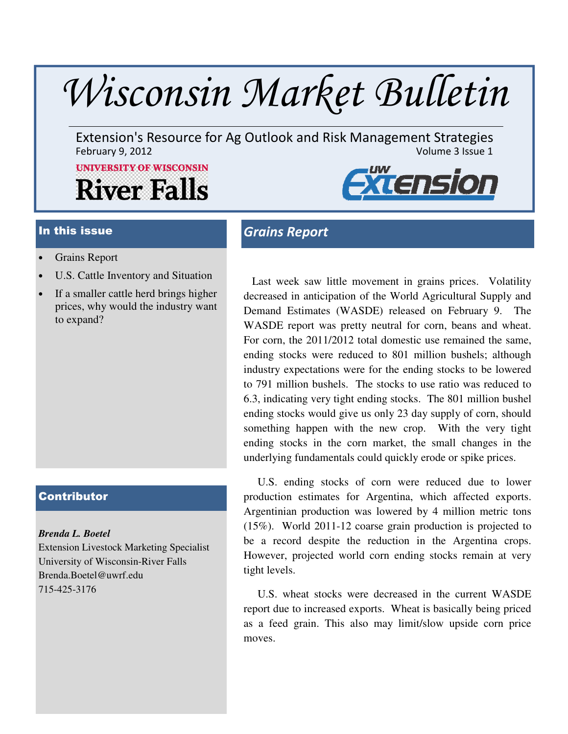# Wisconsin Market Bulletin

Extension's Resource for Ag Outlook and Risk Management Strategies<br>February 9, 2012 February 9, 2012

# **UNIVERSITY OF WISCONSIN River Falls**



- Grains Report
- U.S. Cattle Inventory and Situation
- If a smaller cattle herd brings higher prices, why would the industry want to expand?

#### **Contributor**

#### *Brenda L. Boetel*

Extension Livestock Marketing Specialist University of Wisconsin-River Falls Brenda.Boetel@uwrf.edu 715-425-3176

# In this issue Grains Report

 Last week saw little movement in grains prices. Volatility decreased in anticipation of the World Agricultural Supply and Demand Estimates (WASDE) released on February 9. The WASDE report was pretty neutral for corn, beans and wheat. For corn, the 2011/2012 total domestic use remained the same, ending stocks were reduced to 801 million bushels; although industry expectations were for the ending stocks to be lowered to 791 million bushels. The stocks to use ratio was reduced to 6.3, indicating very tight ending stocks. The 801 million bushel ending stocks would give us only 23 day supply of corn, should something happen with the new crop. With the very tight ending stocks in the corn market, the small changes in the underlying fundamentals could quickly erode or spike prices.

 U.S. ending stocks of corn were reduced due to lower production estimates for Argentina, which affected exports. Argentinian production was lowered by 4 million metric tons (15%). World 2011-12 coarse grain production is projected to be a record despite the reduction in the Argentina crops. However, projected world corn ending stocks remain at very tight levels.

 U.S. wheat stocks were decreased in the current WASDE report due to increased exports. Wheat is basically being priced as a feed grain. This also may limit/slow upside corn price moves.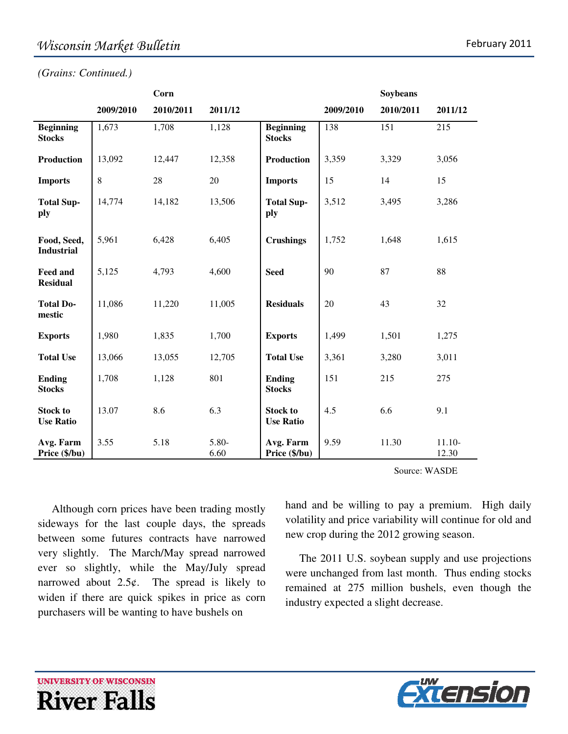*(Grains: Continued.)* 

|                                     |           | Corn      |               |                                     |           | Soybeans  |                   |
|-------------------------------------|-----------|-----------|---------------|-------------------------------------|-----------|-----------|-------------------|
|                                     | 2009/2010 | 2010/2011 | 2011/12       |                                     | 2009/2010 | 2010/2011 | 2011/12           |
| <b>Beginning</b><br><b>Stocks</b>   | 1,673     | 1,708     | 1,128         | <b>Beginning</b><br><b>Stocks</b>   | 138       | 151       | 215               |
| <b>Production</b>                   | 13,092    | 12,447    | 12,358        | <b>Production</b>                   | 3,359     | 3,329     | 3,056             |
| <b>Imports</b>                      | $8\,$     | 28        | 20            | <b>Imports</b>                      | 15        | 14        | 15                |
| <b>Total Sup-</b><br>ply            | 14,774    | 14,182    | 13,506        | <b>Total Sup-</b><br>ply            | 3,512     | 3,495     | 3,286             |
| Food, Seed,<br><b>Industrial</b>    | 5,961     | 6,428     | 6,405         | <b>Crushings</b>                    | 1,752     | 1,648     | 1,615             |
| <b>Feed and</b><br><b>Residual</b>  | 5,125     | 4,793     | 4,600         | <b>Seed</b>                         | 90        | 87        | 88                |
| <b>Total Do-</b><br>mestic          | 11,086    | 11,220    | 11,005        | <b>Residuals</b>                    | 20        | 43        | 32                |
| <b>Exports</b>                      | 1,980     | 1,835     | 1,700         | <b>Exports</b>                      | 1,499     | 1,501     | 1,275             |
| <b>Total Use</b>                    | 13,066    | 13,055    | 12,705        | <b>Total Use</b>                    | 3,361     | 3,280     | 3,011             |
| <b>Ending</b><br><b>Stocks</b>      | 1,708     | 1,128     | 801           | <b>Ending</b><br><b>Stocks</b>      | 151       | 215       | 275               |
| <b>Stock to</b><br><b>Use Ratio</b> | 13.07     | 8.6       | 6.3           | <b>Stock to</b><br><b>Use Ratio</b> | 4.5       | 6.6       | 9.1               |
| Avg. Farm<br>Price (\$/bu)          | 3.55      | 5.18      | 5.80-<br>6.60 | Avg. Farm<br>Price (\$/bu)          | 9.59      | 11.30     | $11.10-$<br>12.30 |

Source: WASDE

 Although corn prices have been trading mostly sideways for the last couple days, the spreads between some futures contracts have narrowed very slightly. The March/May spread narrowed ever so slightly, while the May/July spread narrowed about  $2.5¢$ . The spread is likely to widen if there are quick spikes in price as corn purchasers will be wanting to have bushels on

hand and be willing to pay a premium. High daily volatility and price variability will continue for old and new crop during the 2012 growing season.

 The 2011 U.S. soybean supply and use projections were unchanged from last month. Thus ending stocks remained at 275 million bushels, even though the industry expected a slight decrease.



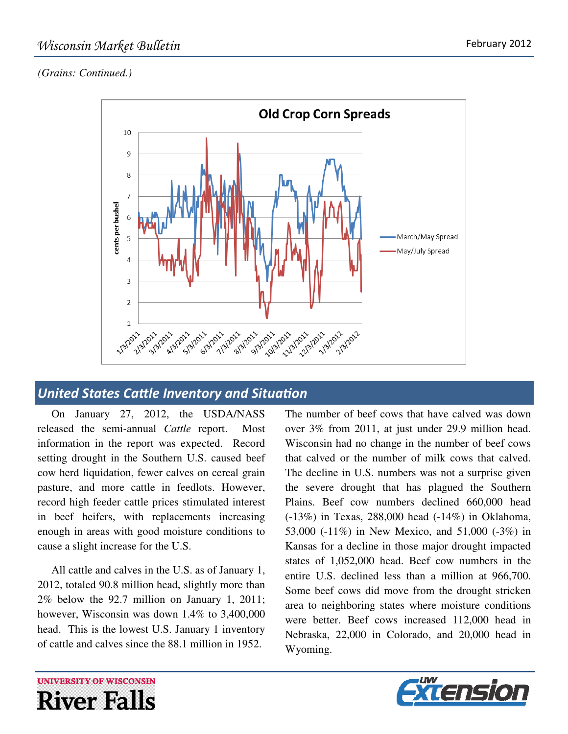### *(Grains: Continued.)*



## United States Cattle Inventory and Situation

 On January 27, 2012, the USDA/NASS released the semi-annual *Cattle* report. Most information in the report was expected. Record setting drought in the Southern U.S. caused beef cow herd liquidation, fewer calves on cereal grain pasture, and more cattle in feedlots. However, record high feeder cattle prices stimulated interest in beef heifers, with replacements increasing enough in areas with good moisture conditions to cause a slight increase for the U.S.

 All cattle and calves in the U.S. as of January 1, 2012, totaled 90.8 million head, slightly more than 2% below the 92.7 million on January 1, 2011; however, Wisconsin was down 1.4% to 3,400,000 head. This is the lowest U.S. January 1 inventory of cattle and calves since the 88.1 million in 1952.

The number of beef cows that have calved was down over 3% from 2011, at just under 29.9 million head. Wisconsin had no change in the number of beef cows that calved or the number of milk cows that calved. The decline in U.S. numbers was not a surprise given the severe drought that has plagued the Southern Plains. Beef cow numbers declined 660,000 head (-13%) in Texas, 288,000 head (-14%) in Oklahoma, 53,000 (-11%) in New Mexico, and 51,000 (-3%) in Kansas for a decline in those major drought impacted states of 1,052,000 head. Beef cow numbers in the entire U.S. declined less than a million at 966,700. Some beef cows did move from the drought stricken area to neighboring states where moisture conditions were better. Beef cows increased 112,000 head in Nebraska, 22,000 in Colorado, and 20,000 head in Wyoming.



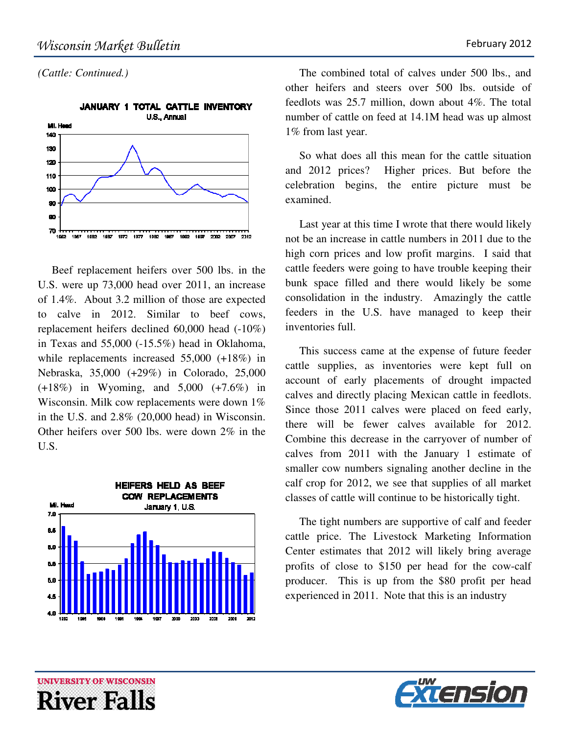*(Cattle: Continued.)* 



 Beef replacement heifers over 500 lbs. in the U.S. were up 73,000 head over 2011, an increase of 1.4%. About 3.2 million of those are expected to calve in 2012. Similar to beef cows, replacement heifers declined 60,000 head (-10%) in Texas and 55,000 (-15.5%) head in Oklahoma, while replacements increased 55,000 (+18%) in Nebraska, 35,000 (+29%) in Colorado, 25,000 (+18%) in Wyoming, and 5,000 (+7.6%) in Wisconsin. Milk cow replacements were down 1% in the U.S. and 2.8% (20,000 head) in Wisconsin. Other heifers over 500 lbs. were down 2% in the U.S.



 The combined total of calves under 500 lbs., and other heifers and steers over 500 lbs. outside of feedlots was 25.7 million, down about 4%. The total number of cattle on feed at 14.1M head was up almost 1% from last year.

 So what does all this mean for the cattle situation and 2012 prices? Higher prices. But before the celebration begins, the entire picture must be examined.

 Last year at this time I wrote that there would likely not be an increase in cattle numbers in 2011 due to the high corn prices and low profit margins. I said that cattle feeders were going to have trouble keeping their bunk space filled and there would likely be some consolidation in the industry. Amazingly the cattle feeders in the U.S. have managed to keep their inventories full.

 This success came at the expense of future feeder cattle supplies, as inventories were kept full on account of early placements of drought impacted calves and directly placing Mexican cattle in feedlots. Since those 2011 calves were placed on feed early, there will be fewer calves available for 2012. Combine this decrease in the carryover of number of calves from 2011 with the January 1 estimate of smaller cow numbers signaling another decline in the calf crop for 2012, we see that supplies of all market classes of cattle will continue to be historically tight.

 The tight numbers are supportive of calf and feeder cattle price. The Livestock Marketing Information Center estimates that 2012 will likely bring average profits of close to \$150 per head for the cow-calf producer. This is up from the \$80 profit per head experienced in 2011. Note that this is an industry



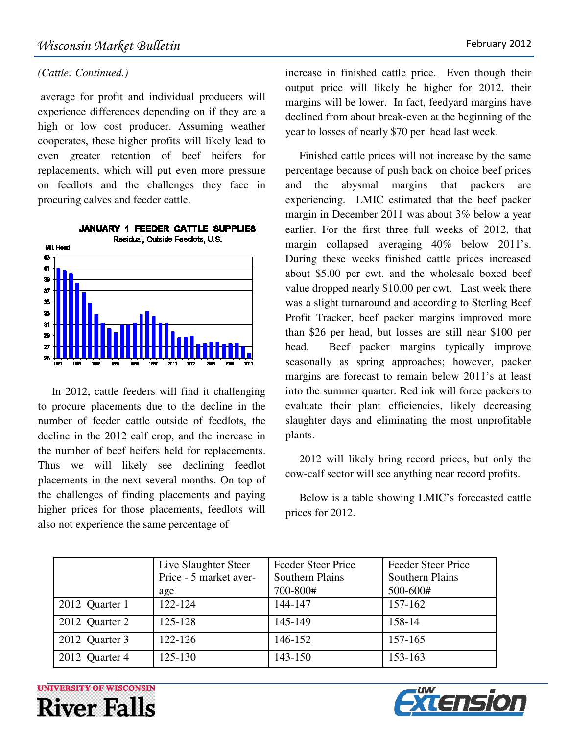#### *(Cattle: Continued.)*

 average for profit and individual producers will experience differences depending on if they are a high or low cost producer. Assuming weather cooperates, these higher profits will likely lead to even greater retention of beef heifers for replacements, which will put even more pressure on feedlots and the challenges they face in procuring calves and feeder cattle.



 In 2012, cattle feeders will find it challenging to procure placements due to the decline in the number of feeder cattle outside of feedlots, the decline in the 2012 calf crop, and the increase in the number of beef heifers held for replacements. Thus we will likely see declining feedlot placements in the next several months. On top of the challenges of finding placements and paying higher prices for those placements, feedlots will also not experience the same percentage of

increase in finished cattle price. Even though their output price will likely be higher for 2012, their margins will be lower. In fact, feedyard margins have declined from about break-even at the beginning of the year to losses of nearly \$70 per head last week.

 Finished cattle prices will not increase by the same percentage because of push back on choice beef prices and the abysmal margins that packers are experiencing. LMIC estimated that the beef packer margin in December 2011 was about 3% below a year earlier. For the first three full weeks of 2012, that margin collapsed averaging 40% below 2011's. During these weeks finished cattle prices increased about \$5.00 per cwt. and the wholesale boxed beef value dropped nearly \$10.00 per cwt. Last week there was a slight turnaround and according to Sterling Beef Profit Tracker, beef packer margins improved more than \$26 per head, but losses are still near \$100 per head. Beef packer margins typically improve seasonally as spring approaches; however, packer margins are forecast to remain below 2011's at least into the summer quarter. Red ink will force packers to evaluate their plant efficiencies, likely decreasing slaughter days and eliminating the most unprofitable plants.

 2012 will likely bring record prices, but only the cow-calf sector will see anything near record profits.

 Below is a table showing LMIC's forecasted cattle prices for 2012.

|                | Live Slaughter Steer<br>Price - 5 market aver-<br>age | Feeder Steer Price<br><b>Southern Plains</b><br>700-800# | Feeder Steer Price<br><b>Southern Plains</b><br>500-600# |
|----------------|-------------------------------------------------------|----------------------------------------------------------|----------------------------------------------------------|
| 2012 Quarter 1 | 122-124                                               | 144-147                                                  | 157-162                                                  |
| 2012 Quarter 2 | 125-128                                               | 145-149                                                  | 158-14                                                   |
| 2012 Quarter 3 | 122-126                                               | 146-152                                                  | 157-165                                                  |
| 2012 Quarter 4 | 125-130                                               | 143-150                                                  | 153-163                                                  |